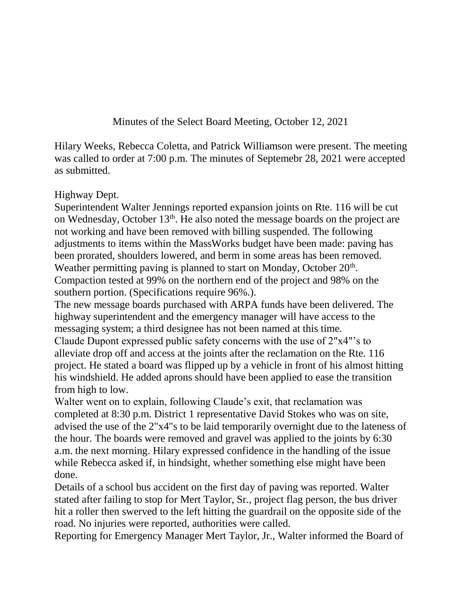Minutes of the Select Board Meeting, October 12, 2021

Hilary Weeks, Rebecca Coletta, and Patrick Williamson were present. The meeting was called to order at 7:00 p.m. The minutes of Septemebr 28, 2021 were accepted as submitted.

## Highway Dept.

Superintendent Walter Jennings reported expansion joints on Rte. 116 will be cut on Wednesday, October 13<sup>th</sup>. He also noted the message boards on the project are not working and have been removed with billing suspended. The following adjustments to items within the MassWorks budget have been made: paving has been prorated, shoulders lowered, and berm in some areas has been removed. Weather permitting paving is planned to start on Monday, October  $20<sup>th</sup>$ . Compaction tested at 99% on the northern end of the project and 98% on the

southern portion. (Specifications require 96%.).

The new message boards purchased with ARPA funds have been delivered. The highway superintendent and the emergency manager will have access to the messaging system; a third designee has not been named at this time.

Claude Dupont expressed public safety concerns with the use of 2"x4"'s to alleviate drop off and access at the joints after the reclamation on the Rte. 116 project. He stated a board was flipped up by a vehicle in front of his almost hitting his windshield. He added aprons should have been applied to ease the transition from high to low.

Walter went on to explain, following Claude's exit, that reclamation was completed at 8:30 p.m. District 1 representative David Stokes who was on site, advised the use of the 2"x4"s to be laid temporarily overnight due to the lateness of the hour. The boards were removed and gravel was applied to the joints by 6:30 a.m. the next morning. Hilary expressed confidence in the handling of the issue while Rebecca asked if, in hindsight, whether something else might have been done.

Details of a school bus accident on the first day of paving was reported. Walter stated after failing to stop for Mert Taylor, Sr., project flag person, the bus driver hit a roller then swerved to the left hitting the guardrail on the opposite side of the road. No injuries were reported, authorities were called.

Reporting for Emergency Manager Mert Taylor, Jr., Walter informed the Board of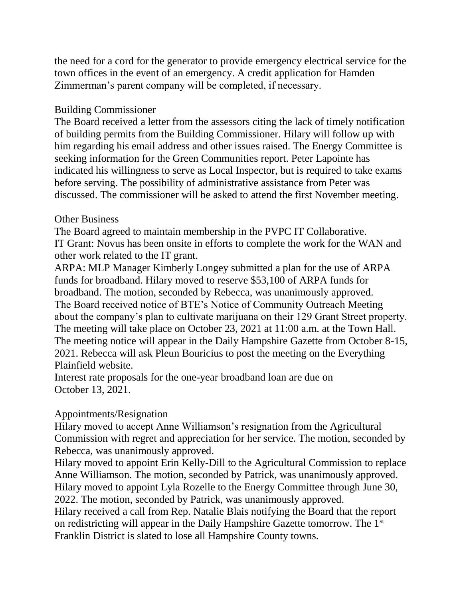the need for a cord for the generator to provide emergency electrical service for the town offices in the event of an emergency. A credit application for Hamden Zimmerman's parent company will be completed, if necessary.

## Building Commissioner

The Board received a letter from the assessors citing the lack of timely notification of building permits from the Building Commissioner. Hilary will follow up with him regarding his email address and other issues raised. The Energy Committee is seeking information for the Green Communities report. Peter Lapointe has indicated his willingness to serve as Local Inspector, but is required to take exams before serving. The possibility of administrative assistance from Peter was discussed. The commissioner will be asked to attend the first November meeting.

## Other Business

The Board agreed to maintain membership in the PVPC IT Collaborative. IT Grant: Novus has been onsite in efforts to complete the work for the WAN and other work related to the IT grant.

ARPA: MLP Manager Kimberly Longey submitted a plan for the use of ARPA funds for broadband. Hilary moved to reserve \$53,100 of ARPA funds for broadband. The motion, seconded by Rebecca, was unanimously approved. The Board received notice of BTE's Notice of Community Outreach Meeting about the company's plan to cultivate marijuana on their 129 Grant Street property. The meeting will take place on October 23, 2021 at 11:00 a.m. at the Town Hall. The meeting notice will appear in the Daily Hampshire Gazette from October 8-15, 2021. Rebecca will ask Pleun Bouricius to post the meeting on the Everything Plainfield website.

Interest rate proposals for the one-year broadband loan are due on October 13, 2021.

## Appointments/Resignation

Hilary moved to accept Anne Williamson's resignation from the Agricultural Commission with regret and appreciation for her service. The motion, seconded by Rebecca, was unanimously approved.

Hilary moved to appoint Erin Kelly-Dill to the Agricultural Commission to replace Anne Williamson. The motion, seconded by Patrick, was unanimously approved. Hilary moved to appoint Lyla Rozelle to the Energy Committee through June 30, 2022. The motion, seconded by Patrick, was unanimously approved. Hilary received a call from Rep. Natalie Blais notifying the Board that the report

on redistricting will appear in the Daily Hampshire Gazette tomorrow. The 1st Franklin District is slated to lose all Hampshire County towns.